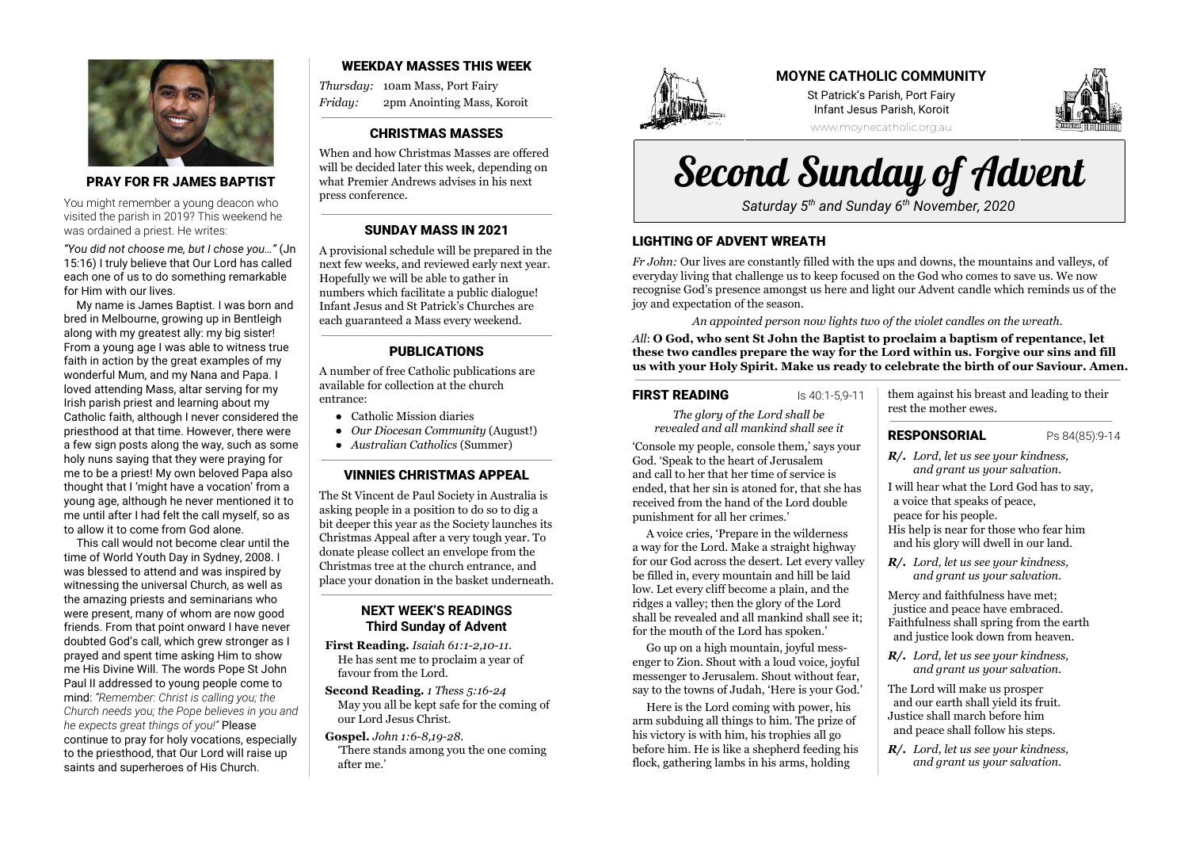

#### **PRAY FOR FR JAMES BAPTIST**

You might remember a young deacon who visited the parish in 2019? This weekend he was ordained a priest. He writes:

"You did not choose me, but I chose you..." (Jn 15:16) I truly believe that Our Lord has called each one of us to do something remarkable for Him with our lives.

My name is James Baptist. I was born and bred in Melbourne, growing up in Bentleigh along with my greatest ally: my big sister! From a young age I was able to witness true faith in action by the great examples of my wonderful Mum, and my Nana and Papa. I loved attending Mass, altar serving for my Irish parish priest and learning about my Catholic faith, although I never considered the priesthood at that time. However, there were a few sign posts along the way, such as some holy nuns saving that they were praving for me to be a priest! My own beloved Papa also thought that I 'might have a vocation' from a voung age, although he never mentioned it to me until after I had felt the call myself, so as to allow it to come from God alone.

This call would not become clear until the time of World Youth Dav in Sydney, 2008. I was blessed to attend and was inspired by witnessing the universal Church, as well as the amazing priests and seminarians who were present. many of whom are now good friends. From that point onward I have never doubted God's call, which grew stronger as I prayed and spent time asking Him to show me His Divine Will. The words Pope St John Paul II addressed to young people come to mind: "Remember: Christ is calling you: the Church needs you: the Pope believes in you and he expects great things of you!" Please continue to pray for holy vocations, especially to the priesthood, that Our Lord will raise up saints and superheroes of His Church.

# **WEEKDAY MASSES THIS WEEK**

Thursday: 10am Mass, Port Fairy Fridau: 2pm Anointing Mass, Koroit

#### **CHRISTMAS MASSES**

When and how Christmas Masses are offered will be decided later this week, depending on what Premier Andrews advises in his next press conference.

#### **SUNDAY MASS IN 2021**

A provisional schedule will be prepared in the next few weeks, and reviewed early next year. Hopefully we will be able to gather in numbers which facilitate a public dialogue! Infant Jesus and St Patrick's Churches are each guaranteed a Mass every weekend.

## **PUBLICATIONS**

A number of free Catholic publications are available for collection at the church entrance<sup>.</sup>

- Catholic Mission diaries
- Our Diocesan Community (August!)
- Australian Catholics (Summer)

#### **VINNIES CHRISTMAS APPEAI**

The St Vincent de Paul Society in Australia is asking people in a position to do so to dig a bit deeper this year as the Society launches its Christmas Appeal after a very tough year. To donate please collect an envelope from the Christmas tree at the church entrance, and place your donation in the basket underneath.

# **NEXT WEEK'S READINGS Third Sunday of Advent**

First Reading. Isaiah 61:1-2.10-11. He has sent me to proclaim a year of favour from the Lord

- Second Reading. 1 Thess 5:16-24 May you all be kept safe for the coming of our Lord Jesus Christ.
- Gospel. John 1:6-8.19-28. There stands among you the one coming after me.'



# MOYNE CATHOLIC COMMUNITY

St Patrick's Parish, Port Fairy Infant Jesus Parish Koroit



www.moynecatholic.org.au

# **Second Sunday of Advent** Saturday  $5<sup>th</sup>$  and Sunday  $6<sup>th</sup>$  November, 2020

# **LIGHTING OF ADVENT WREATH**

Fr John: Our lives are constantly filled with the ups and downs, the mountains and valleys, of everyday living that challenge us to keep focused on the God who comes to save us. We now recognise God's presence amongst us here and light our Advent candle which reminds us of the joy and expectation of the season.

An appointed person now lights two of the violet candles on the wreath.

All: O God, who sent St John the Baptist to proclaim a baptism of repentance, let these two candles prepare the way for the Lord within us. Forgive our sins and fill us with your Holy Spirit. Make us ready to celebrate the birth of our Saviour. Amen.

#### **FIRST READING**

 $Is 40:1-59-11$ 

The aloru of the Lord shall be revealed and all mankind shall see it

'Console my people, console them,' says your God. 'Speak to the heart of Jerusalem and call to her that her time of service is ended, that her sin is atoned for, that she has received from the hand of the Lord double punishment for all her crimes.'

A voice cries, 'Prepare in the wilderness a way for the Lord. Make a straight highway for our God across the desert. Let every valley be filled in, every mountain and hill be laid low. Let every cliff become a plain, and the ridges a valley: then the glory of the Lord shall be revealed and all mankind shall see it; for the mouth of the Lord has spoken.'

Go up on a high mountain, joyful messenger to Zion. Shout with a loud voice, joyful messenger to Jerusalem. Shout without fear. say to the towns of Judah, 'Here is your God.'

Here is the Lord coming with power, his arm subduing all things to him. The prize of his victory is with him, his trophies all go before him. He is like a shepherd feeding his flock, gathering lambs in his arms, holding

them against his breast and leading to their rest the mother ewes.

#### **RESPONSORIAL**

Ps 84(85):9-14

- R/. Lord. let us see your kindness. and arant us your salvation.
- I will hear what the Lord God has to say, a voice that speaks of peace. peace for his people. His help is near for those who fear him and his glory will dwell in our land.
- $R$ . Lord. let us see your kindness. and arant us your salvation.

Mercy and faithfulness have met: justice and peace have embraced. Faithfulness shall spring from the earth and justice look down from heaven.

- $R$ . Lord, let us see your kindness. and grant us your salvation.
- The Lord will make us prosper and our earth shall yield its fruit. Justice shall march before him and peace shall follow his steps.
- R/. Lord. let us see your kindness. and grant us your salvation.